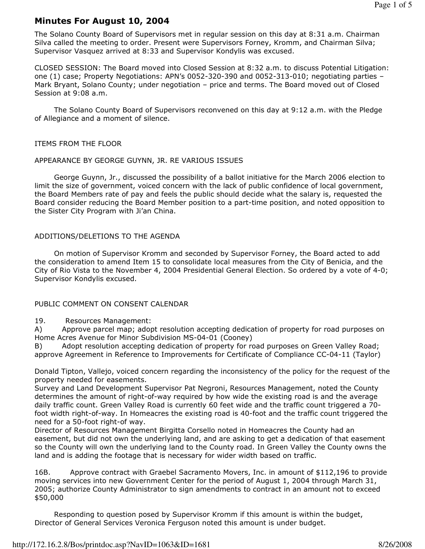# Minutes For August 10, 2004

The Solano County Board of Supervisors met in regular session on this day at 8:31 a.m. Chairman Silva called the meeting to order. Present were Supervisors Forney, Kromm, and Chairman Silva; Supervisor Vasquez arrived at 8:33 and Supervisor Kondylis was excused.

CLOSED SESSION: The Board moved into Closed Session at 8:32 a.m. to discuss Potential Litigation: one (1) case; Property Negotiations: APN's 0052-320-390 and 0052-313-010; negotiating parties – Mark Bryant, Solano County; under negotiation – price and terms. The Board moved out of Closed Session at 9:08 a.m.

 The Solano County Board of Supervisors reconvened on this day at 9:12 a.m. with the Pledge of Allegiance and a moment of silence.

ITEMS FROM THE FLOOR

#### APPEARANCE BY GEORGE GUYNN, JR. RE VARIOUS ISSUES

 George Guynn, Jr., discussed the possibility of a ballot initiative for the March 2006 election to limit the size of government, voiced concern with the lack of public confidence of local government, the Board Members rate of pay and feels the public should decide what the salary is, requested the Board consider reducing the Board Member position to a part-time position, and noted opposition to the Sister City Program with Ji'an China.

### ADDITIONS/DELETIONS TO THE AGENDA

 On motion of Supervisor Kromm and seconded by Supervisor Forney, the Board acted to add the consideration to amend Item 15 to consolidate local measures from the City of Benicia, and the City of Rio Vista to the November 4, 2004 Presidential General Election. So ordered by a vote of 4-0; Supervisor Kondylis excused.

#### PUBLIC COMMENT ON CONSENT CALENDAR

19. Resources Management:

A) Approve parcel map; adopt resolution accepting dedication of property for road purposes on Home Acres Avenue for Minor Subdivision MS-04-01 (Cooney)

B) Adopt resolution accepting dedication of property for road purposes on Green Valley Road; approve Agreement in Reference to Improvements for Certificate of Compliance CC-04-11 (Taylor)

Donald Tipton, Vallejo, voiced concern regarding the inconsistency of the policy for the request of the property needed for easements.

Survey and Land Development Supervisor Pat Negroni, Resources Management, noted the County determines the amount of right-of-way required by how wide the existing road is and the average daily traffic count. Green Valley Road is currently 60 feet wide and the traffic count triggered a 70 foot width right-of-way. In Homeacres the existing road is 40-foot and the traffic count triggered the need for a 50-foot right-of way.

Director of Resources Management Birgitta Corsello noted in Homeacres the County had an easement, but did not own the underlying land, and are asking to get a dedication of that easement so the County will own the underlying land to the County road. In Green Valley the County owns the land and is adding the footage that is necessary for wider width based on traffic.

16B. Approve contract with Graebel Sacramento Movers, Inc. in amount of \$112,196 to provide moving services into new Government Center for the period of August 1, 2004 through March 31, 2005; authorize County Administrator to sign amendments to contract in an amount not to exceed \$50,000

 Responding to question posed by Supervisor Kromm if this amount is within the budget, Director of General Services Veronica Ferguson noted this amount is under budget.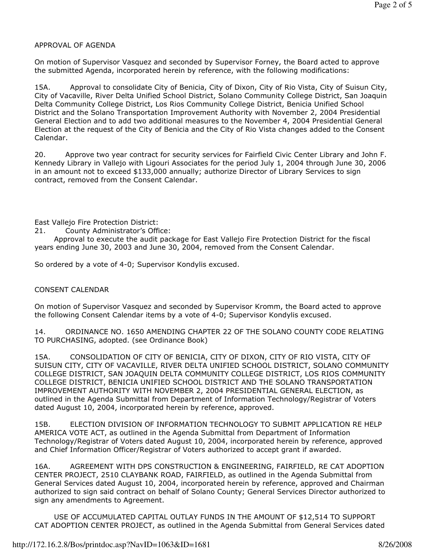### APPROVAL OF AGENDA

On motion of Supervisor Vasquez and seconded by Supervisor Forney, the Board acted to approve the submitted Agenda, incorporated herein by reference, with the following modifications:

15A. Approval to consolidate City of Benicia, City of Dixon, City of Rio Vista, City of Suisun City, City of Vacaville, River Delta Unified School District, Solano Community College District, San Joaquin Delta Community College District, Los Rios Community College District, Benicia Unified School District and the Solano Transportation Improvement Authority with November 2, 2004 Presidential General Election and to add two additional measures to the November 4, 2004 Presidential General Election at the request of the City of Benicia and the City of Rio Vista changes added to the Consent Calendar.

20. Approve two year contract for security services for Fairfield Civic Center Library and John F. Kennedy Library in Vallejo with Ligouri Associates for the period July 1, 2004 through June 30, 2006 in an amount not to exceed \$133,000 annually; authorize Director of Library Services to sign contract, removed from the Consent Calendar.

East Vallejo Fire Protection District:

21. County Administrator's Office:

 Approval to execute the audit package for East Vallejo Fire Protection District for the fiscal years ending June 30, 2003 and June 30, 2004, removed from the Consent Calendar.

So ordered by a vote of 4-0; Supervisor Kondylis excused.

### CONSENT CALENDAR

On motion of Supervisor Vasquez and seconded by Supervisor Kromm, the Board acted to approve the following Consent Calendar items by a vote of 4-0; Supervisor Kondylis excused.

14. ORDINANCE NO. 1650 AMENDING CHAPTER 22 OF THE SOLANO COUNTY CODE RELATING TO PURCHASING, adopted. (see Ordinance Book)

15A. CONSOLIDATION OF CITY OF BENICIA, CITY OF DIXON, CITY OF RIO VISTA, CITY OF SUISUN CITY, CITY OF VACAVILLE, RIVER DELTA UNIFIED SCHOOL DISTRICT, SOLANO COMMUNITY COLLEGE DISTRICT, SAN JOAQUIN DELTA COMMUNITY COLLEGE DISTRICT, LOS RIOS COMMUNITY COLLEGE DISTRICT, BENICIA UNIFIED SCHOOL DISTRICT AND THE SOLANO TRANSPORTATION IMPROVEMENT AUTHORITY WITH NOVEMBER 2, 2004 PRESIDENTIAL GENERAL ELECTION, as outlined in the Agenda Submittal from Department of Information Technology/Registrar of Voters dated August 10, 2004, incorporated herein by reference, approved.

15B. ELECTION DIVISION OF INFORMATION TECHNOLOGY TO SUBMIT APPLICATION RE HELP AMERICA VOTE ACT, as outlined in the Agenda Submittal from Department of Information Technology/Registrar of Voters dated August 10, 2004, incorporated herein by reference, approved and Chief Information Officer/Registrar of Voters authorized to accept grant if awarded.

16A. AGREEMENT WITH DPS CONSTRUCTION & ENGINEERING, FAIRFIELD, RE CAT ADOPTION CENTER PROJECT, 2510 CLAYBANK ROAD, FAIRFIELD, as outlined in the Agenda Submittal from General Services dated August 10, 2004, incorporated herein by reference, approved and Chairman authorized to sign said contract on behalf of Solano County; General Services Director authorized to sign any amendments to Agreement.

 USE OF ACCUMULATED CAPITAL OUTLAY FUNDS IN THE AMOUNT OF \$12,514 TO SUPPORT CAT ADOPTION CENTER PROJECT, as outlined in the Agenda Submittal from General Services dated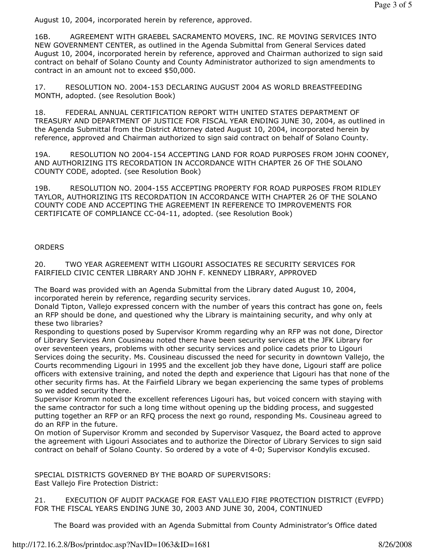August 10, 2004, incorporated herein by reference, approved.

16B. AGREEMENT WITH GRAEBEL SACRAMENTO MOVERS, INC. RE MOVING SERVICES INTO NEW GOVERNMENT CENTER, as outlined in the Agenda Submittal from General Services dated August 10, 2004, incorporated herein by reference, approved and Chairman authorized to sign said contract on behalf of Solano County and County Administrator authorized to sign amendments to contract in an amount not to exceed \$50,000.

17. RESOLUTION NO. 2004-153 DECLARING AUGUST 2004 AS WORLD BREASTFEEDING MONTH, adopted. (see Resolution Book)

18. FEDERAL ANNUAL CERTIFICATION REPORT WITH UNITED STATES DEPARTMENT OF TREASURY AND DEPARTMENT OF JUSTICE FOR FISCAL YEAR ENDING JUNE 30, 2004, as outlined in the Agenda Submittal from the District Attorney dated August 10, 2004, incorporated herein by reference, approved and Chairman authorized to sign said contract on behalf of Solano County.

19A. RESOLUTION NO 2004-154 ACCEPTING LAND FOR ROAD PURPOSES FROM JOHN COONEY, AND AUTHORIZING ITS RECORDATION IN ACCORDANCE WITH CHAPTER 26 OF THE SOLANO COUNTY CODE, adopted. (see Resolution Book)

19B. RESOLUTION NO. 2004-155 ACCEPTING PROPERTY FOR ROAD PURPOSES FROM RIDLEY TAYLOR, AUTHORIZING ITS RECORDATION IN ACCORDANCE WITH CHAPTER 26 OF THE SOLANO COUNTY CODE AND ACCEPTING THE AGREEMENT IN REFERENCE TO IMPROVEMENTS FOR CERTIFICATE OF COMPLIANCE CC-04-11, adopted. (see Resolution Book)

# **ORDERS**

20. TWO YEAR AGREEMENT WITH LIGOURI ASSOCIATES RE SECURITY SERVICES FOR FAIRFIELD CIVIC CENTER LIBRARY AND JOHN F. KENNEDY LIBRARY, APPROVED

The Board was provided with an Agenda Submittal from the Library dated August 10, 2004, incorporated herein by reference, regarding security services.

Donald Tipton, Vallejo expressed concern with the number of years this contract has gone on, feels an RFP should be done, and questioned why the Library is maintaining security, and why only at these two libraries?

Responding to questions posed by Supervisor Kromm regarding why an RFP was not done, Director of Library Services Ann Cousineau noted there have been security services at the JFK Library for over seventeen years, problems with other security services and police cadets prior to Ligouri Services doing the security. Ms. Cousineau discussed the need for security in downtown Vallejo, the Courts recommending Ligouri in 1995 and the excellent job they have done, Ligouri staff are police officers with extensive training, and noted the depth and experience that Ligouri has that none of the other security firms has. At the Fairfield Library we began experiencing the same types of problems so we added security there.

Supervisor Kromm noted the excellent references Ligouri has, but voiced concern with staying with the same contractor for such a long time without opening up the bidding process, and suggested putting together an RFP or an RFQ process the next go round, responding Ms. Cousineau agreed to do an RFP in the future.

On motion of Supervisor Kromm and seconded by Supervisor Vasquez, the Board acted to approve the agreement with Ligouri Associates and to authorize the Director of Library Services to sign said contract on behalf of Solano County. So ordered by a vote of 4-0; Supervisor Kondylis excused.

SPECIAL DISTRICTS GOVERNED BY THE BOARD OF SUPERVISORS: East Vallejo Fire Protection District:

21. EXECUTION OF AUDIT PACKAGE FOR EAST VALLEJO FIRE PROTECTION DISTRICT (EVFPD) FOR THE FISCAL YEARS ENDING JUNE 30, 2003 AND JUNE 30, 2004, CONTINUED

The Board was provided with an Agenda Submittal from County Administrator's Office dated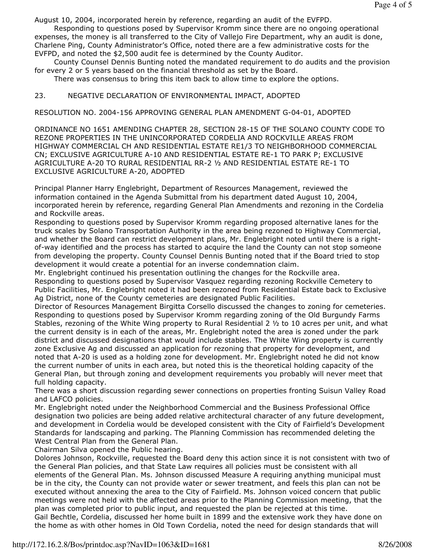August 10, 2004, incorporated herein by reference, regarding an audit of the EVFPD.

 Responding to questions posed by Supervisor Kromm since there are no ongoing operational expenses, the money is all transferred to the City of Vallejo Fire Department, why an audit is done, Charlene Ping, County Administrator's Office, noted there are a few administrative costs for the EVFPD, and noted the \$2,500 audit fee is determined by the County Auditor.

 County Counsel Dennis Bunting noted the mandated requirement to do audits and the provision for every 2 or 5 years based on the financial threshold as set by the Board.

There was consensus to bring this item back to allow time to explore the options.

## 23. NEGATIVE DECLARATION OF ENVIRONMENTAL IMPACT, ADOPTED

RESOLUTION NO. 2004-156 APPROVING GENERAL PLAN AMENDMENT G-04-01, ADOPTED

ORDINANCE NO 1651 AMENDING CHAPTER 28, SECTION 28-15 OF THE SOLANO COUNTY CODE TO REZONE PROPERTIES IN THE UNINCORPORATED CORDELIA AND ROCKVILLE AREAS FROM HIGHWAY COMMERCIAL CH AND RESIDENTIAL ESTATE RE1/3 TO NEIGHBORHOOD COMMERCIAL CN; EXCLUSIVE AGRICULTURE A-10 AND RESIDENTIAL ESTATE RE-1 TO PARK P; EXCLUSIVE AGRICULTURE A-20 TO RURAL RESIDENTIAL RR-2 ½ AND RESIDENTIAL ESTATE RE-1 TO EXCLUSIVE AGRICULTURE A-20, ADOPTED

Principal Planner Harry Englebright, Department of Resources Management, reviewed the information contained in the Agenda Submittal from his department dated August 10, 2004, incorporated herein by reference, regarding General Plan Amendments and rezoning in the Cordelia and Rockville areas.

Responding to questions posed by Supervisor Kromm regarding proposed alternative lanes for the truck scales by Solano Transportation Authority in the area being rezoned to Highway Commercial, and whether the Board can restrict development plans, Mr. Englebright noted until there is a rightof-way identified and the process has started to acquire the land the County can not stop someone from developing the property. County Counsel Dennis Bunting noted that if the Board tried to stop development it would create a potential for an inverse condemnation claim.

Mr. Englebright continued his presentation outlining the changes for the Rockville area. Responding to questions posed by Supervisor Vasquez regarding rezoning Rockville Cemetery to Public Facilities, Mr. Englebright noted it had been rezoned from Residential Estate back to Exclusive Ag District, none of the County cemeteries are designated Public Facilities.

Director of Resources Management Birgitta Corsello discussed the changes to zoning for cemeteries. Responding to questions posed by Supervisor Kromm regarding zoning of the Old Burgundy Farms Stables, rezoning of the White Wing property to Rural Residential 2 ½ to 10 acres per unit, and what the current density is in each of the areas, Mr. Englebright noted the area is zoned under the park district and discussed designations that would include stables. The White Wing property is currently zone Exclusive Ag and discussed an application for rezoning that property for development, and noted that A-20 is used as a holding zone for development. Mr. Englebright noted he did not know the current number of units in each area, but noted this is the theoretical holding capacity of the General Plan, but through zoning and development requirements you probably will never meet that full holding capacity.

There was a short discussion regarding sewer connections on properties fronting Suisun Valley Road and LAFCO policies.

Mr. Englebright noted under the Neighborhood Commercial and the Business Professional Office designation two policies are being added relative architectural character of any future development, and development in Cordelia would be developed consistent with the City of Fairfield's Development Standards for landscaping and parking. The Planning Commission has recommended deleting the West Central Plan from the General Plan.

Chairman Silva opened the Public hearing.

Dolores Johnson, Rockville, requested the Board deny this action since it is not consistent with two of the General Plan policies, and that State Law requires all policies must be consistent with all elements of the General Plan. Ms. Johnson discussed Measure A requiring anything municipal must be in the city, the County can not provide water or sewer treatment, and feels this plan can not be executed without annexing the area to the City of Fairfield. Ms. Johnson voiced concern that public meetings were not held with the affected areas prior to the Planning Commission meeting, that the plan was completed prior to public input, and requested the plan be rejected at this time. Gail Bechtle, Cordelia, discussed her home built in 1899 and the extensive work they have done on the home as with other homes in Old Town Cordelia, noted the need for design standards that will